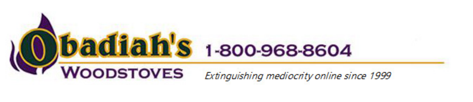